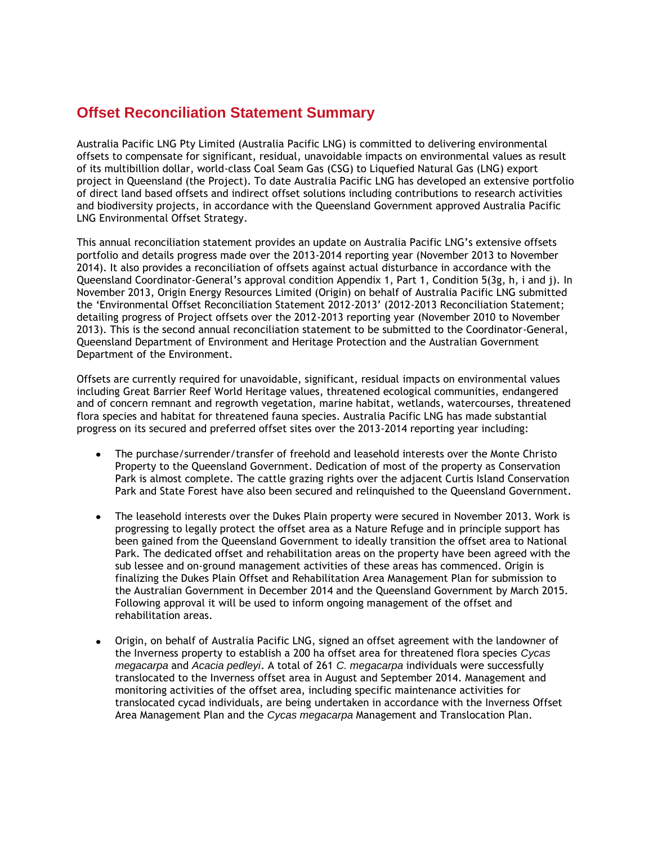# **Offset Reconciliation Statement Summary**

Australia Pacific LNG Pty Limited (Australia Pacific LNG) is committed to delivering environmental offsets to compensate for significant, residual, unavoidable impacts on environmental values as result of its multibillion dollar, world-class Coal Seam Gas (CSG) to Liquefied Natural Gas (LNG) export project in Queensland (the Project). To date Australia Pacific LNG has developed an extensive portfolio of direct land based offsets and indirect offset solutions including contributions to research activities and biodiversity projects, in accordance with the Queensland Government approved Australia Pacific LNG Environmental Offset Strategy.

This annual reconciliation statement provides an update on Australia Pacific LNG's extensive offsets portfolio and details progress made over the 2013-2014 reporting year (November 2013 to November 2014). It also provides a reconciliation of offsets against actual disturbance in accordance with the Queensland Coordinator-General's approval condition Appendix 1, Part 1, Condition 5(3g, h, i and j). In November 2013, Origin Energy Resources Limited (Origin) on behalf of Australia Pacific LNG submitted the 'Environmental Offset Reconciliation Statement 2012-2013' (2012-2013 Reconciliation Statement; detailing progress of Project offsets over the 2012-2013 reporting year (November 2010 to November 2013). This is the second annual reconciliation statement to be submitted to the Coordinator-General, Queensland Department of Environment and Heritage Protection and the Australian Government Department of the Environment.

Offsets are currently required for unavoidable, significant, residual impacts on environmental values including Great Barrier Reef World Heritage values, threatened ecological communities, endangered and of concern remnant and regrowth vegetation, marine habitat, wetlands, watercourses, threatened flora species and habitat for threatened fauna species. Australia Pacific LNG has made substantial progress on its secured and preferred offset sites over the 2013-2014 reporting year including:

- The purchase/surrender/transfer of freehold and leasehold interests over the Monte Christo Property to the Queensland Government. Dedication of most of the property as Conservation Park is almost complete. The cattle grazing rights over the adjacent Curtis Island Conservation Park and State Forest have also been secured and relinquished to the Queensland Government.
- The leasehold interests over the Dukes Plain property were secured in November 2013. Work is progressing to legally protect the offset area as a Nature Refuge and in principle support has been gained from the Queensland Government to ideally transition the offset area to National Park. The dedicated offset and rehabilitation areas on the property have been agreed with the sub lessee and on-ground management activities of these areas has commenced. Origin is finalizing the Dukes Plain Offset and Rehabilitation Area Management Plan for submission to the Australian Government in December 2014 and the Queensland Government by March 2015. Following approval it will be used to inform ongoing management of the offset and rehabilitation areas.
- Origin, on behalf of Australia Pacific LNG, signed an offset agreement with the landowner of the Inverness property to establish a 200 ha offset area for threatened flora species *Cycas megacarpa* and *Acacia pedleyi*. A total of 261 *C. megacarpa* individuals were successfully translocated to the Inverness offset area in August and September 2014. Management and monitoring activities of the offset area, including specific maintenance activities for translocated cycad individuals, are being undertaken in accordance with the Inverness Offset Area Management Plan and the *Cycas megacarpa* Management and Translocation Plan.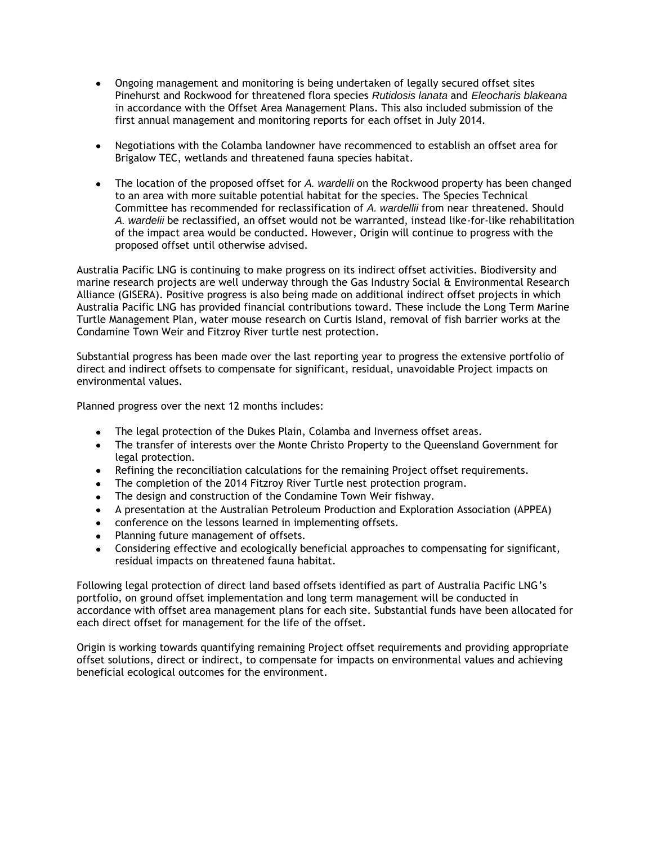- Ongoing management and monitoring is being undertaken of legally secured offset sites Pinehurst and Rockwood for threatened flora species *Rutidosis lanata* and *Eleocharis blakeana*  in accordance with the Offset Area Management Plans. This also included submission of the first annual management and monitoring reports for each offset in July 2014.
- Negotiations with the Colamba landowner have recommenced to establish an offset area for Brigalow TEC, wetlands and threatened fauna species habitat.
- The location of the proposed offset for *A. wardelli* on the Rockwood property has been changed to an area with more suitable potential habitat for the species. The Species Technical Committee has recommended for reclassification of *A. wardellii* from near threatened. Should *A. wardelii* be reclassified, an offset would not be warranted, instead like-for-like rehabilitation of the impact area would be conducted. However, Origin will continue to progress with the proposed offset until otherwise advised.

Australia Pacific LNG is continuing to make progress on its indirect offset activities. Biodiversity and marine research projects are well underway through the Gas Industry Social & Environmental Research Alliance (GISERA). Positive progress is also being made on additional indirect offset projects in which Australia Pacific LNG has provided financial contributions toward. These include the Long Term Marine Turtle Management Plan, water mouse research on Curtis Island, removal of fish barrier works at the Condamine Town Weir and Fitzroy River turtle nest protection.

Substantial progress has been made over the last reporting year to progress the extensive portfolio of direct and indirect offsets to compensate for significant, residual, unavoidable Project impacts on environmental values.

Planned progress over the next 12 months includes:

- $\bullet$ The legal protection of the Dukes Plain, Colamba and Inverness offset areas.
- The transfer of interests over the Monte Christo Property to the Queensland Government for legal protection.
- Refining the reconciliation calculations for the remaining Project offset requirements.  $\bullet$
- The completion of the 2014 Fitzroy River Turtle nest protection program.
- The design and construction of the Condamine Town Weir fishway.  $\bullet$
- A presentation at the Australian Petroleum Production and Exploration Association (APPEA)
- conference on the lessons learned in implementing offsets.
- Planning future management of offsets.  $\bullet$
- Considering effective and ecologically beneficial approaches to compensating for significant, residual impacts on threatened fauna habitat.

Following legal protection of direct land based offsets identified as part of Australia Pacific LNG's portfolio, on ground offset implementation and long term management will be conducted in accordance with offset area management plans for each site. Substantial funds have been allocated for each direct offset for management for the life of the offset.

Origin is working towards quantifying remaining Project offset requirements and providing appropriate offset solutions, direct or indirect, to compensate for impacts on environmental values and achieving beneficial ecological outcomes for the environment.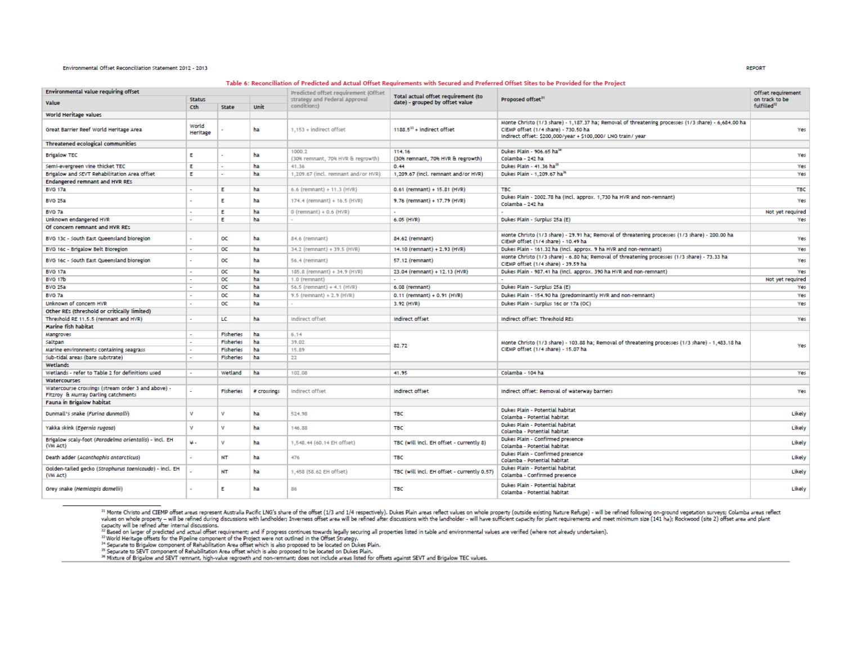### Environmental Offset Reconciliation Statement 2012 - 2013

#### Table 6: Reconciliation of Predicted and Actual Offset Requirements with Secured and Preferred Offset Sites to be Provided for the Proiect

| <b>Environmental value requiring offset</b>                                               |                   |                  | Predicted offset requirement (Offset |                                     |                                                                        | Offset requirement                                                                                                                                                                                          |                         |  |
|-------------------------------------------------------------------------------------------|-------------------|------------------|--------------------------------------|-------------------------------------|------------------------------------------------------------------------|-------------------------------------------------------------------------------------------------------------------------------------------------------------------------------------------------------------|-------------------------|--|
| Value                                                                                     | <b>Status</b>     |                  |                                      | strategy and Federal Approval       | Total actual offset requirement (to<br>date) - grouped by offset value | Proposed offset <sup>31</sup>                                                                                                                                                                               | on track to be          |  |
|                                                                                           | Cth               | State            | Unit                                 | conditions)                         |                                                                        |                                                                                                                                                                                                             | fulfilled <sup>32</sup> |  |
| World Heritage values                                                                     |                   |                  |                                      |                                     |                                                                        |                                                                                                                                                                                                             |                         |  |
| Great Barrier Reef World Heritage Area                                                    | World<br>Heritage |                  | ha                                   | 1.153 + indirect offset             | $1188.533$ + indirect offset                                           | Monte Christo (1/3 share) - 1,187.37 ha; Removal of threatening processes (1/3 share) - 6,684.00 ha<br>CIEMP offset (1/4 share) - 730.50 ha<br>Indirect offset: \$200,000/year + \$100,000/ LNG train/ year | Yes                     |  |
| <b>Threatened ecological communities</b>                                                  |                   |                  |                                      |                                     |                                                                        |                                                                                                                                                                                                             |                         |  |
| <b>Brigalow TEC</b>                                                                       | Е                 |                  | ha                                   | 1000.2                              | 114.16                                                                 | Dukes Plain - 906.65 ha <sup>34</sup>                                                                                                                                                                       | Yes                     |  |
|                                                                                           |                   |                  |                                      | (30% remnant, 70% HVR & regrowth)   | (30% remnant, 70% HVR & regrowth)                                      | Colamba - 242 ha                                                                                                                                                                                            |                         |  |
| Semi-evergreen vine thicket TEC                                                           | E.                |                  | ha                                   | 41.36                               | 0.44                                                                   | Dukes Plain - 41.36 ha <sup>35</sup>                                                                                                                                                                        | Yes                     |  |
| Brigalow and SEVT Rehabilitation Area offset                                              | Е                 |                  | ha                                   | 1,209.67 (incl. remnant and/or HVR) | 1,209.67 (incl. remnant and/or HVR)                                    | Dukes Plain - 1,209.67 ha <sup>36</sup>                                                                                                                                                                     | Yes                     |  |
| Endangered remnant and HVR REs                                                            |                   |                  |                                      |                                     |                                                                        |                                                                                                                                                                                                             |                         |  |
| <b>BVG 17a</b>                                                                            |                   | Е                | ha                                   | 6.6 (remnant) + 11.3 (HVR)          | $0.61$ (remnant) + 15.81 (HVR)                                         | <b>TBC</b>                                                                                                                                                                                                  | <b>TBC</b>              |  |
| <b>BVG 25a</b>                                                                            |                   | F                | ha                                   | 174.4 (remnant) + 16.5 (HVR)        | 9.76 (remnant) + 17.79 (HVR)                                           | Dukes Plain - 2002.78 ha (Incl. approx. 1,730 ha HVR and non-remnant)<br>Colamba - 242 ha                                                                                                                   | Yes                     |  |
| BVG 7a                                                                                    |                   | E                | ha                                   | $0$ (remnant) + $0.6$ (HVR)         |                                                                        |                                                                                                                                                                                                             | Not yet required        |  |
| Unknown endangered HVR                                                                    |                   | E.               | ha                                   |                                     | 6.05 (HVR)                                                             | Dukes Plain - Surplus 25a (E)                                                                                                                                                                               | Yes                     |  |
| Of concern remnant and HVR RES                                                            |                   |                  |                                      |                                     |                                                                        |                                                                                                                                                                                                             |                         |  |
| BVG 13c - South East Queensland bioregion                                                 |                   | oc               | ha                                   | 84.6 (remnant)                      | 84.62 (remnant)                                                        | Monte Christo (1/3 share) - 29.91 ha; Removal of threatening processes (1/3 share) - 200.00 ha<br>CIEMP offset (1/4 share) - 10.49 ha                                                                       | Yes                     |  |
| BVG 16c - Brigalow Belt Bioregion                                                         | $\sim$            | œ                | ha                                   | 34.2 (remnant) + 39.5 (HVR)         | 14.10 (remnant) + 2.93 (HVR)                                           | Dukes Plain - 161.32 ha (incl. approx. 9 ha HVR and non-remnant)                                                                                                                                            | Yes                     |  |
| BVG 16c - South East Queensland bioregion                                                 | $\overline{a}$    | oc               | ha                                   | 56.4 (remnant)                      | 57.12 (remnant)                                                        | Monte Christo (1/3 share) - 6.80 ha; Removal of threatening processes (1/3 share) - 73.33 ha<br>CIEMP offset (1/4 share) - 39.59 ha                                                                         | Yes                     |  |
| <b>BVG 17a</b>                                                                            | $\sim$            | œ                | ha                                   | 185.8 (remnant) + 34.9 (HVR)        | 23.04 (remnant) + 12.13 (HVR)                                          | Dukes Plain - 987.41 ha (incl. approx. 390 ha HVR and non-remnant)                                                                                                                                          | Yes                     |  |
| BVG 17b                                                                                   | $\mathbf{r}$      | oc               | ha                                   | 1.0 (remnant)                       | $\sim$                                                                 |                                                                                                                                                                                                             | Not yet required        |  |
| <b>BVG 25a</b>                                                                            |                   | oc               | ha                                   | 56.5 (remnant) + 4.1 (HVR)          | 6.08 (remnant)                                                         | Dukes Plain - Surplus 25a (E)                                                                                                                                                                               | Yes                     |  |
| BVG 7a                                                                                    |                   | oc               | ha                                   | $9.5$ (remnant) + 2.9 (HVR)         | $0.11$ (remnant) + $0.91$ (HVR)                                        | Dukes Plain - 154.90 ha (predominantly HVR and non-remnant)                                                                                                                                                 | Yes                     |  |
| Unknown of concern HVR                                                                    |                   | oc               | ha                                   |                                     | 3.92 (HVR)                                                             | Dukes Plain - Surplus 16c or 17a (OC)                                                                                                                                                                       | Yes                     |  |
| Other REs (threshold or critically limited)                                               |                   |                  |                                      |                                     |                                                                        |                                                                                                                                                                                                             |                         |  |
| Threshold RE 11.5.5 (remnant and HVR)                                                     |                   | LC               | ha                                   | Indirect offset                     | Indirect offset                                                        | Indirect offset: Threshold REs                                                                                                                                                                              | Yes                     |  |
| Marine fish habitat                                                                       |                   |                  |                                      |                                     |                                                                        |                                                                                                                                                                                                             |                         |  |
| Mangroves                                                                                 |                   | <b>Fisheries</b> | ha                                   | 6.14                                |                                                                        |                                                                                                                                                                                                             |                         |  |
| Saltpan                                                                                   |                   | <b>Fisheries</b> | ha                                   | 39.02                               | 82.72                                                                  | Monte Christo (1/3 share) - 103.88 ha; Removal of threatening processes (1/3 share) - 1,483.18 ha<br>CIEMP offset (1/4 share) - 15.07 ha                                                                    | Yes                     |  |
| Marine environments containing seagrass                                                   |                   | Fisheries        | ha                                   | 15.89                               |                                                                        |                                                                                                                                                                                                             |                         |  |
| Sub-tidal areas (bare substrate)                                                          |                   | <b>Fisheries</b> | ha                                   | 22                                  |                                                                        |                                                                                                                                                                                                             |                         |  |
| Wetlands                                                                                  |                   |                  |                                      |                                     |                                                                        |                                                                                                                                                                                                             |                         |  |
| Wetlands - refer to Table 2 for definitions used                                          |                   | Wetland          | ha                                   | 102.08                              | 41.95                                                                  | Colamba - 104 ha                                                                                                                                                                                            | Yes                     |  |
| Watercourses                                                                              |                   |                  |                                      |                                     |                                                                        |                                                                                                                                                                                                             |                         |  |
| Watercourse crossings (stream order 3 and above) -<br>Fitzroy & Murray Darling catchments |                   | <b>Fisheries</b> | # crossings                          | Indirect offset                     | Indirect offset                                                        | Indirect offset: Removal of waterway barriers                                                                                                                                                               | Yes                     |  |
| Fauna in Brigalow habitat                                                                 |                   |                  |                                      |                                     |                                                                        |                                                                                                                                                                                                             |                         |  |
| Dunmall's snake (Furing dunmalli)                                                         | v                 | v                | ha                                   | 524.98                              | <b>TBC</b>                                                             | Dukes Plain - Potential habitat<br>Colamba - Potential habitat                                                                                                                                              | Likely                  |  |
| Yakka skink (Egernia rugosa)                                                              | v                 | v                | ha                                   | 146.88                              | <b>TBC</b>                                                             | Dukes Plain - Potential habitat<br>Colamba - Potential habitat                                                                                                                                              | Likely                  |  |
| Brigalow scaly-foot (Paradelma orientalis) - incl. EH<br>(VM Act)                         | ψ.                | v                | ha                                   | 1,548.44 (60.14 EH offset)          | TBC (will incl. EH offset - currently 8)                               | Dukes Plain - Confirmed presence<br>Colamba - Potential habitat                                                                                                                                             | Likely                  |  |
| Death adder (Acanthophis antarcticus)                                                     |                   | NT               | ha                                   | 476                                 | <b>TBC</b>                                                             | Dukes Plain - Confirmed presence<br>Colamba - Potential habitat                                                                                                                                             | Likely                  |  |
| Golden-tailed gecko (Strophurus taenicauda) - incl. EH<br>(VM Act)                        |                   | <b>NT</b>        | ha                                   | 1,458 (58.62 EH offset)             | TBC (will incl. EH offset - currently 0.57)                            | Dukes Plain - Potential habitat<br>Colamba - Confirmed presence                                                                                                                                             | Likely                  |  |
| Grey snake (Hemiaspis damelii)                                                            |                   | F                | ha                                   | 86                                  | <b>TBC</b>                                                             | Dukes Plain - Potential habitat<br>Colamba - Potential habitat                                                                                                                                              | Likely                  |  |

<sup>31</sup> Monte Christo and CIEMP offset areas represent Australia Pacific LNG's share of the offset (1/3 and 1/4 respectively). Dukes Plain areas reflect values on whole property (outside existing Nature Refuge) - will be refi capacity will be refined after internal discussions.<br><sup>33</sup> Based on larger of predicted and actual offset requirements and if progress continues towards legal properties listed in table and environmental values are verified

Separate to SEVT component of Rehabilitation Area offset which is also proposed to be located on Dukes Plain.<br><sup>35</sup> Separate to SEVT component of Rehabilitation Area offset which is also proposed to be located on Dukes Plai

**REPORT**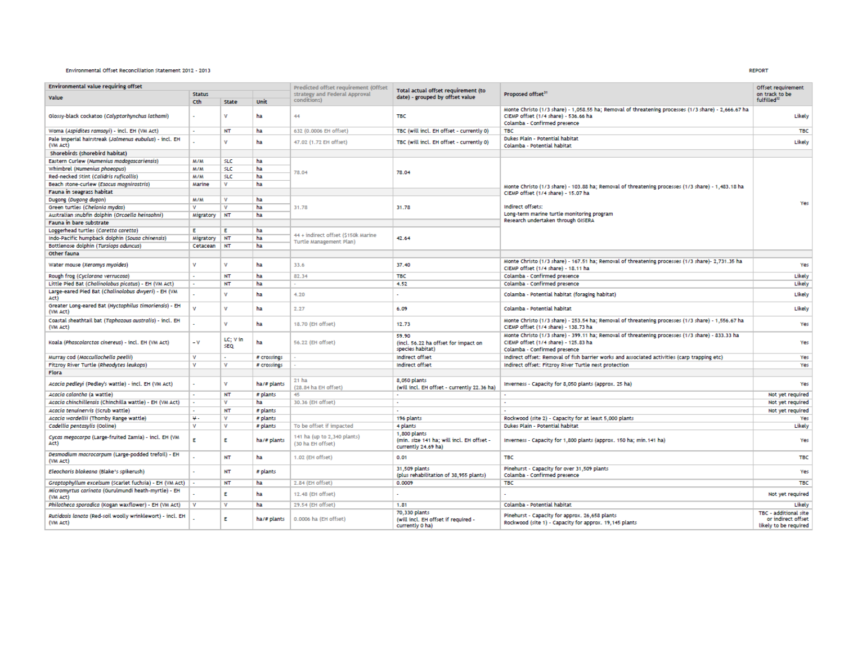## Environmental Offset Reconciliation Statement 2012 - 2013

| Environmental value requiring offset                                  |                      |                        | Predicted offset requirement (Offset |                                                  |                                                                                  | Offset requirement                                                                                                                                                          |                                                                       |  |
|-----------------------------------------------------------------------|----------------------|------------------------|--------------------------------------|--------------------------------------------------|----------------------------------------------------------------------------------|-----------------------------------------------------------------------------------------------------------------------------------------------------------------------------|-----------------------------------------------------------------------|--|
| Value                                                                 | <b>Status</b>        |                        |                                      | strategy and Federal Approval                    | Total actual offset requirement (to<br>date) - grouped by offset value           | Proposed offset <sup>31</sup>                                                                                                                                               | on track to be                                                        |  |
|                                                                       | Cth                  | State<br>Unit          |                                      | conditions)                                      |                                                                                  |                                                                                                                                                                             | fulfilled <sup>32</sup>                                               |  |
| Glossy-black cockatoo (Calyptorhynchus lathami)                       |                      | v                      | ha                                   | 44                                               | <b>TBC</b>                                                                       | Monte Christo (1/3 share) - 1,058.55 ha; Removal of threatening processes (1/3 share) - 2,666.67 ha<br>CIEMP offset (1/4 share) - 536.66 ha<br>Colamba - Confirmed presence | Likely                                                                |  |
| Woma (Aspidites ramsayi) - incl. EH (VM Act)                          | $\ddot{\phantom{0}}$ | <b>NT</b>              | ha                                   | 632 (0.0006 EH offset)                           | TBC (will incl. EH offset - currently 0)                                         | <b>TBC</b>                                                                                                                                                                  | <b>TBC</b>                                                            |  |
| Pale imperial hairstreak (Jalmenus eubulus) - incl. EH<br>(VM Act)    |                      | $\mathbf{v}$           | ha                                   | 47.02 (1.72 EH offset)                           | TBC (will incl. EH offset - currently 0)                                         | Dukes Plain - Potential habitat<br>Colamba - Potential habitat                                                                                                              | Likely                                                                |  |
| Shorebirds (shorebird habitat)                                        |                      |                        |                                      |                                                  |                                                                                  |                                                                                                                                                                             |                                                                       |  |
| Eastern Curlew (Numenius madagascariensis)                            | <b>M/M</b>           | <b>SLC</b>             | ha                                   |                                                  |                                                                                  |                                                                                                                                                                             |                                                                       |  |
| Whimbrel (Numenius phaeopus)                                          | <b>M/M</b>           | <b>SLC</b>             | ha                                   |                                                  |                                                                                  |                                                                                                                                                                             |                                                                       |  |
| Red-necked Stint (Calidris ruficollis)                                | M/M                  | <b>SLC</b>             | ha                                   | 78.04                                            | 78.04                                                                            |                                                                                                                                                                             |                                                                       |  |
| Beach stone-curlew (Esacus magnirostris)                              | Marine               | v                      | ha                                   |                                                  |                                                                                  |                                                                                                                                                                             |                                                                       |  |
| Fauna in seagrass habitat                                             |                      |                        |                                      |                                                  |                                                                                  | Monte Christo (1/3 share) - 103.88 ha; Removal of threatening processes (1/3 share) - 1,483.18 ha<br>CIEMP offset (1/4 share) - 15.07 ha                                    |                                                                       |  |
| Dugong (Dugong dugon)                                                 | M/M                  | v                      | ha                                   |                                                  |                                                                                  |                                                                                                                                                                             |                                                                       |  |
| Green turtles (Chelonia mydas)                                        | $\mathbf v$          | $\mathbf{v}$           | ha                                   | 31.78                                            | 31.78                                                                            | Indirect offsets:                                                                                                                                                           | Ye                                                                    |  |
|                                                                       |                      |                        |                                      |                                                  |                                                                                  | Long-term marine turtle monitoring program                                                                                                                                  |                                                                       |  |
| Australian snubfin dolphin (Orcaella heinsohni)                       | Migratory NT         |                        | ha                                   |                                                  |                                                                                  | Research undertaken through GISERA                                                                                                                                          |                                                                       |  |
| Fauna in bare substrate                                               |                      |                        |                                      |                                                  |                                                                                  |                                                                                                                                                                             |                                                                       |  |
| Loggerhead turtles (Caretta caretta)                                  | Е                    | Е                      | ha                                   | 44 + indirect offset (\$150k Marine              |                                                                                  |                                                                                                                                                                             |                                                                       |  |
| Indo-Pacific humpback dolphin (Sousa chinensis)                       | Migratory            | <b>NT</b>              | ha                                   | Turtle Management Plan)                          | 42.64                                                                            |                                                                                                                                                                             |                                                                       |  |
| Bottlenose dolphin (Tursiops aduncus)                                 | Cetacean             | <b>NT</b>              | ha                                   |                                                  |                                                                                  |                                                                                                                                                                             |                                                                       |  |
| Other fauna                                                           |                      |                        |                                      |                                                  |                                                                                  |                                                                                                                                                                             |                                                                       |  |
| Water mouse (Xeromys myoides)                                         | v                    | v                      | ha                                   | 33.6                                             | 37.40                                                                            | Monte Christo (1/3 share) - 167.51 ha; Removal of threatening processes (1/3 share)- 2,731.35 ha<br>CIEMP offset (1/4 share) - 18.11 ha                                     | Yes                                                                   |  |
| Rough frog (Cyclorana verrucosa)                                      |                      | <b>NT</b>              | ha                                   | 82.34                                            | <b>TBC</b>                                                                       | Colamba - Confirmed presence                                                                                                                                                | Likely                                                                |  |
| Little Pied Bat (Chalinolobus picatus) - EH (VM Act)                  | ×                    | NT                     | ha                                   |                                                  | 4.52                                                                             | Colamba - Confirmed presence                                                                                                                                                | Likely                                                                |  |
| Large-eared Pied Bat (Chalinolobus dwyeri) - EH (VM<br>Act)           |                      | $\mathbf{v}$           | ha                                   | 4.20                                             |                                                                                  | Colamba - Potential habitat (foraging habitat)                                                                                                                              | Likely                                                                |  |
| Greater Long-eared Bat (Nyctophilus timoriensis) - EH<br>(VM Act)     | v                    | $\mathbf{v}$           | ha                                   | 2.27                                             | 6.09                                                                             | Colamba - Potential habitat                                                                                                                                                 | Likely                                                                |  |
| Coastal sheathtail bat (Taphozous australis) - incl. EH<br>(VM Act)   |                      | $\mathbf{v}$           | ha                                   | 18.70 (EH offset)                                | 12.73                                                                            | Monte Christo (1/3 share) - 253.54 ha; Removal of threatening processes (1/3 share) - 1,556.67 ha<br>CIEMP offset (1/4 share) - 138.73 ha                                   | Yes                                                                   |  |
| Koala (Phascolarctos cinereus) - incl. EH (VM Act)                    | $-V$                 | LC: V in<br><b>SEQ</b> | ha                                   | 56.22 (EH offset)                                | 59.90<br>(incl. 56.22 ha offset for impact on<br>species habitat)                | Monte Christo (1/3 share) - 399.11 ha; Removal of threatening processes (1/3 share) - 833.33 ha<br>CIEMP offset (1/4 share) - 125.83 ha<br>Colamba - Confirmed presence     | Yes                                                                   |  |
| Murray cod (Maccullochella peelii)                                    | v                    |                        | # crossings                          |                                                  | Indirect offset                                                                  | Indirect offset: Removal of fish barrier works and associated activities (carp trapping etc)                                                                                | Yes                                                                   |  |
| Fitzroy River Turtle (Rheodytes leukops)                              | v                    | v                      | # crossings                          |                                                  | Indirect offset                                                                  | Indirect offset: Fitzroy River Turtle nest protection                                                                                                                       | Yes                                                                   |  |
| Flora                                                                 |                      |                        |                                      |                                                  |                                                                                  |                                                                                                                                                                             |                                                                       |  |
| Acacia pedleyi (Pedley's wattle) - incl. EH (VM Act)                  |                      | v                      | ha/# plants                          | 21 ha<br>(28.84 ha EH offset)                    | 8,050 plants<br>(will incl. EH offset - currently 22.36 ha)                      | Inverness - Capacity for 8,050 plants (approx. 25 ha)                                                                                                                       | Yes                                                                   |  |
| Acacia calantha (a wattle)                                            |                      | <b>NT</b>              | # plants                             | 45.                                              | ×.                                                                               |                                                                                                                                                                             | Not vet required                                                      |  |
| Acacia chinchillensis (Chinchilla wattle) - EH (VM Act)               |                      | $\mathbf v$            | ha                                   | 30.36 (EH offset)                                | $\sim$                                                                           |                                                                                                                                                                             | Not yet required                                                      |  |
| Acacia tenuinervis (Scrub wattle)                                     |                      | <b>NT</b>              | # plants                             |                                                  |                                                                                  |                                                                                                                                                                             | Not yet required                                                      |  |
| Acacia wardellii (Thomby Range wattle)                                | Ψ.                   | v                      | # plants                             |                                                  | 196 plants                                                                       | Rockwood (site 2) - Capacity for at least 5,000 plants                                                                                                                      | Yes                                                                   |  |
| Cadellia pentasylis (Ooline)                                          | v                    | v                      | # plants                             | To be offset if impacted                         | 4 plants                                                                         | Dukes Plain - Potential habitat                                                                                                                                             | Likely                                                                |  |
| Cycas megacarpa (Large-fruited Zamia) - incl. EH (VM<br>Act)          | E.                   | E.                     | ha/# plants                          | 141 ha (up to 2,340 plants)<br>(30 ha EH offset) | 1,800 plants<br>(min. size 141 ha: will incl. EH offset -<br>currently 24.69 ha) | Inverness - Capacity for 1,800 plants (approx. 150 ha; min. 141 ha)                                                                                                         | Yes                                                                   |  |
| Desmodium macrocarpum (Large-podded trefoil) - EH<br>(VM Act)         |                      | <b>NT</b>              | ha                                   | 1.02 (EH offset)                                 | 0.01                                                                             | <b>TBC</b>                                                                                                                                                                  | <b>TBC</b>                                                            |  |
| Eleocharis blakeana (Blake's spikerush)                               |                      | <b>NT</b>              | # plants                             |                                                  | 31,509 plants<br>(plus rehabilitation of 38,955 plants)                          | Pinehurst - Capacity for over 31,509 plants<br>Colamba - Confirmed presence                                                                                                 | Yes                                                                   |  |
| Graptophyllum excelsum (Scarlet fuchsia) - EH (VM Act)                |                      | <b>NT</b>              | ha                                   | 2.84 (EH offset)                                 | 0.0009                                                                           | <b>TBC</b>                                                                                                                                                                  | <b>TBC</b>                                                            |  |
| Micromyrtus carinata (Gurulmundi heath-myrtle) - EH<br>(VM Act)       |                      | F                      | ha                                   | 12.48 (EH offset)                                |                                                                                  |                                                                                                                                                                             | Not yet required                                                      |  |
| Philotheca sporadica (Kogan waxflower) - EH (VM Act)                  | v                    | $\mathbf{v}$           | ha                                   | 29.54 (EH offset)                                | 1.81                                                                             | Colamba - Potential habitat                                                                                                                                                 | Likely                                                                |  |
| Rutidosis lanata (Red-soil woolly wrinklewort) - incl. EH<br>(VM Act) |                      | E                      | ha/# plants                          | 0.0006 ha (EH offset)                            | 70,330 plants<br>(will incl. EH offset if required -<br>currently 0 ha)          | Pinehurst - Capacity for approx. 26,658 plants<br>Rockwood (site 1) - Capacity for approx. 19.145 plants                                                                    | TBC - additional site<br>or indirect offset<br>likely to be required. |  |

**REPORT**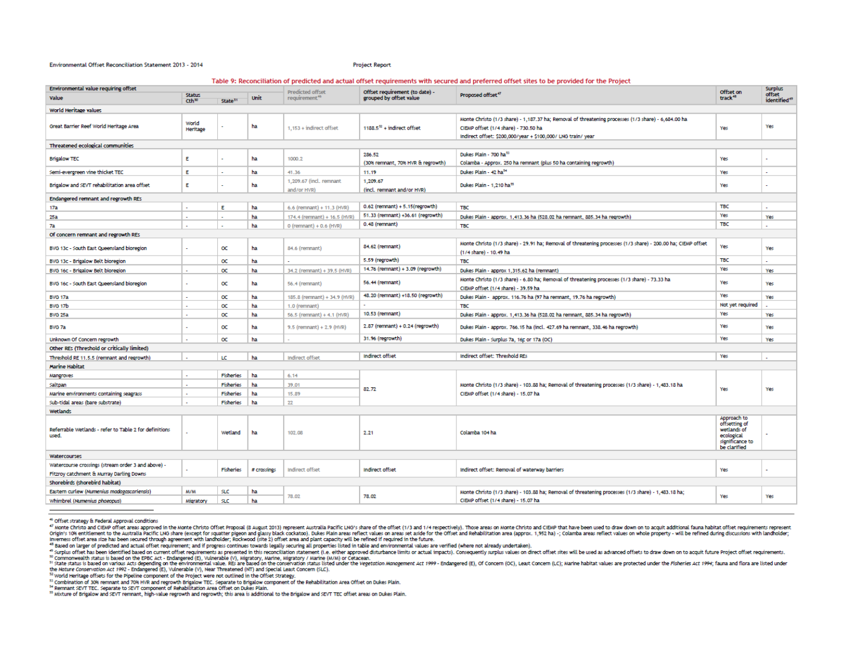#### Environmental Offset Reconciliation Statement 2013 - 2014

**Project Report** 

Table 9: Reconciliation of predicted and actual offset requirements with secured and preferred offset sites to be provided for the Project

| Environmental value requiring offset                            |                                 |                     |             | Predicted offset                       | Offset requirement (to date) -              |                                                                                                                                                                                                             | Offset on                                                                     | <b>Surplus</b>                     |  |
|-----------------------------------------------------------------|---------------------------------|---------------------|-------------|----------------------------------------|---------------------------------------------|-------------------------------------------------------------------------------------------------------------------------------------------------------------------------------------------------------------|-------------------------------------------------------------------------------|------------------------------------|--|
| Value                                                           | <b>Status</b><br>$Cth^{\infty}$ | State <sup>51</sup> | Unit        | requirement <sup>46</sup>              | grouped by offset value                     | Proposed offset <sup>47</sup>                                                                                                                                                                               | track <sup>48</sup>                                                           | offset<br>identified <sup>49</sup> |  |
| World Heritage values                                           |                                 |                     |             |                                        |                                             |                                                                                                                                                                                                             |                                                                               |                                    |  |
| Great Barrier Reef World Heritage Area                          | World<br>Heritage               |                     | ha          | 1.153 + indirect offset                | $1188.552$ + indirect offset                | Monte Christo (1/3 share) - 1,187.37 ha; Removal of threatening processes (1/3 share) - 6,684.00 ha<br>CIEMP offset (1/4 share) - 730.50 ha<br>Indirect offset: \$200,000/year + \$100,000/ LNG train/ year | Yes                                                                           | Yes                                |  |
| Threatened ecological communities                               |                                 |                     |             |                                        |                                             |                                                                                                                                                                                                             |                                                                               |                                    |  |
| <b>Brigalow TEC</b>                                             | Ε                               |                     | ha          | 1000.2                                 | 286.52<br>(30% remnant, 70% HVR & regrowth) | Dukes Plain - 700 has<br>Colamba - Approx. 250 ha remnant (plus 50 ha containing regrowth)                                                                                                                  | Yes                                                                           |                                    |  |
| Semi-evergreen vine thicket TEC                                 | Ε                               |                     | ha          | 41.36                                  | 11.19                                       | Dukes Plain - 42 ha <sup>54</sup>                                                                                                                                                                           | Yes                                                                           | $\ddot{\phantom{0}}$               |  |
| Brigalow and SEVT rehabilitation area offset                    | E                               |                     | ha          | 1,209.67 (incl. remnant<br>and/or HVR) | 1,209.67<br>(incl. remnant and/or HVR)      | Dukes Plain - 1.210 ha <sup>55</sup>                                                                                                                                                                        | Yes                                                                           |                                    |  |
| Endangered remnant and regrowth REs                             |                                 |                     |             |                                        |                                             |                                                                                                                                                                                                             |                                                                               |                                    |  |
| 17a                                                             |                                 | E                   | ha          | 6.6 (remnant) + 11.3 (HVR)             | $0.62$ (remnant) + 5.15(regrowth)           | <b>TBC</b>                                                                                                                                                                                                  | <b>TBC</b>                                                                    | $\mathcal{L}^{\mathcal{A}}$        |  |
| 25a                                                             |                                 |                     | ha          | 174.4 (remnant) + 16.5 (HVR)           | 51.33 (remnant) +36.61 (regrowth)           | Dukes Plain - approx. 1,413.36 ha (528.02 ha remnant, 885.34 ha regrowth)                                                                                                                                   | Yes                                                                           | Yes                                |  |
| 7a                                                              |                                 |                     | ha          | $0$ (remnant) + $0.6$ (HVR)            | 0.48 (remnant)                              | <b>TBC</b>                                                                                                                                                                                                  | <b>TBC</b>                                                                    | $\ddot{\phantom{0}}$               |  |
| Of concern remnant and regrowth REs                             |                                 |                     |             |                                        |                                             |                                                                                                                                                                                                             |                                                                               |                                    |  |
| BVG 13c - South East Queensland bioregion                       |                                 | œ                   | ha          | 84.6 (remnant)                         | 84.62 (remnant)                             | Monte Christo (1/3 share) - 29.91 ha; Removal of threatening processes (1/3 share) - 200.00 ha; CIEMP offset<br>(1/4 share) - 10.49 ha                                                                      | Yes                                                                           | Yes                                |  |
| BVG 13c - Brigalow Belt bioregion                               |                                 | $\alpha$            | ha          |                                        | 5.59 (regrowth)                             | <b>TBC</b>                                                                                                                                                                                                  | <b>TBC</b>                                                                    | $\sim$                             |  |
| BVG 16c - Brigalow Belt bioregion                               |                                 | $\alpha$            | ha          | 34.2 (remnant) + 39.5 (HVR)            | 14.76 (remnant) + 3.09 (regrowth)           | Dukes Plain - approx 1,315.62 ha (remnant)                                                                                                                                                                  | Yes                                                                           | Yes                                |  |
| BVG 16c - South East Queensland bioregion                       |                                 | $\alpha$            | ha          | 56.4 (remnant)                         | 56.44 (remnant)                             | Monte Christo (1/3 share) - 6.80 ha; Removal of threatening processes (1/3 share) - 73.33 ha<br>CIEMP offset (1/4 share) - 39.59 ha                                                                         | Yes                                                                           | Yes                                |  |
| <b>BVG 17a</b>                                                  |                                 | $\alpha$            | ha          | 185.8 (remnant) + 34.9 (HVR)           | 48.20 (remnant) +18.50 (regrowth)           | Dukes Plain - approx. 116.76 ha (97 ha remnant, 19.76 ha regrowth)                                                                                                                                          | Yes                                                                           | Yes                                |  |
| BVG 17b                                                         |                                 | $\alpha$            | ha          | 1.0 (remnant)                          |                                             | <b>TBC</b>                                                                                                                                                                                                  | Not yet required                                                              |                                    |  |
| <b>BVG 25a</b>                                                  |                                 | $\alpha$            | ha          | 56.5 (remnant) + 4.1 (HVR)             | 10.53 (remnant)                             | Dukes Plain - approx. 1,413.36 ha (528.02 ha remnant, 885.34 ha regrowth)                                                                                                                                   | Yes                                                                           | Yes                                |  |
| BVG 7a                                                          |                                 | $\alpha$            | ha          | $9.5$ (remnant) + 2.9 (HVR)            | 2.87 (remnant) + 0.24 (regrowth)            | Dukes Plain - approx. 766.15 ha (incl. 427.69 ha remnant, 338.46 ha regrowth)                                                                                                                               | Yes                                                                           | Yes                                |  |
| Unknown Of Concern regrowth                                     |                                 | $\alpha$            | ha          |                                        | 31.96 (regrowth)                            | Dukes Plain - Surplus 7a, 16c or 17a (OC)                                                                                                                                                                   | Yes                                                                           | Yes                                |  |
| Other REs (Threshold or critically limited)                     |                                 |                     |             |                                        |                                             |                                                                                                                                                                                                             |                                                                               |                                    |  |
| Threshold RE 11.5.5 (remnant and regrowth)                      |                                 | LC                  | ha          | Indirect offset                        | Indirect offset                             | Indirect offset: Threshold REs                                                                                                                                                                              | Yes                                                                           | $\overline{\phantom{a}}$           |  |
| <b>Marine Habitat</b>                                           |                                 |                     |             |                                        |                                             |                                                                                                                                                                                                             |                                                                               |                                    |  |
| Mangroves                                                       |                                 | <b>Fisheries</b>    | ha          | 6.14                                   |                                             |                                                                                                                                                                                                             |                                                                               |                                    |  |
| Saltpan                                                         |                                 | Fisheries           | ha          | 39.01                                  | 82.72                                       | Monte Christo (1/3 share) - 103.88 ha; Removal of threatening processes (1/3 share) - 1,483.18 ha<br>CIEMP offset (1/4 share) - 15.07 ha                                                                    | Yes                                                                           | Yes                                |  |
| Marine environments containing seagrass                         |                                 | Fisheries           | ha          | 15.89                                  |                                             |                                                                                                                                                                                                             |                                                                               |                                    |  |
| Sub-tidal areas (bare substrate)                                |                                 | Fisheries           | ha          | 22                                     |                                             |                                                                                                                                                                                                             |                                                                               |                                    |  |
| <b>Wetlands</b><br>Approach to                                  |                                 |                     |             |                                        |                                             |                                                                                                                                                                                                             |                                                                               |                                    |  |
| Referrable Wetlands - refer to Table 2 for definitions<br>used. |                                 | Wetland             | ha          | 102.08                                 | 2.21                                        | Colamba 104 ha                                                                                                                                                                                              | offsetting of<br>wetlands of<br>ecological<br>significance to<br>be clarified |                                    |  |
| Watercourses                                                    |                                 |                     |             |                                        |                                             |                                                                                                                                                                                                             |                                                                               |                                    |  |
| Watercourse crossings (stream order 3 and above) -              |                                 | Fisheries           | # crossings | Indirect offset                        | Indirect offset                             | Indirect offset: Removal of waterway barriers                                                                                                                                                               | Yes                                                                           |                                    |  |
| Fitzroy catchment & Murray Darling Downs                        |                                 |                     |             |                                        |                                             |                                                                                                                                                                                                             |                                                                               |                                    |  |
| Shorebirds (shorebird habitat)                                  |                                 |                     |             |                                        |                                             |                                                                                                                                                                                                             |                                                                               |                                    |  |
| Eastern curlew (Numenius madagascariensis)                      | M/M                             | <b>SLC</b>          | ha          | 78,02                                  | 78.02                                       | Monte Christo (1/3 share) - 103.88 ha; Removal of threatening processes (1/3 share) - 1,483.18 ha;                                                                                                          | Yes                                                                           | Yes                                |  |
| Whimbrel (Numenius phaeopus)                                    | Migratory                       | <b>SLC</b>          | ha          |                                        |                                             | CIEMP offset (1/4 share) - 15.07 ha                                                                                                                                                                         |                                                                               |                                    |  |

<sup>&</sup>lt;sup>46</sup> Offset strategy & Federal Approval conditions

on this transfer of the service compared to the crystal end of the contract of the Service Subsection of the Rehabilitation Area Offset on Dukes Plain.<br>In combination of 30% remnant and 70% HVR and regrowth Brigalow TEC. S

<sup>35</sup> Mixture of Brigalow and SEVT remnant, high-value regrowth and regrowth; this area is additional to the Brigalow and SEVT TEC offset areas on Dukes Plain.

<sup>&</sup>quot; winter Christo and CIEMP offset areas approved in the Monte Christo Offset Proposal (8 August 2013) represent Australia Pacific LNO's share of the offset (1/3 and 1/4 respectively). Those areas on Monte Christo and CIEMP Inverness offset area size has been secured through agreement with landholder; Rockwood (site 2) offset area and plant capacity will be refined if required in the future.<br>"Based on larger of predicted and actual offset req

execution and the term of the term of the search of the search of this reconciliation statement (i.e. either approved distribution actual impact). Consequently suplus values on direct lofset is will be used as advanced off

the Nature Conservation Act 1992 - Endangered (E), Vulnerable (V), Near Threatened (NT) and Special Least Concern (SLC).<br><sup>52</sup> World Heritage offsets for the Pipeline component of the Project were not outlined in the Offset